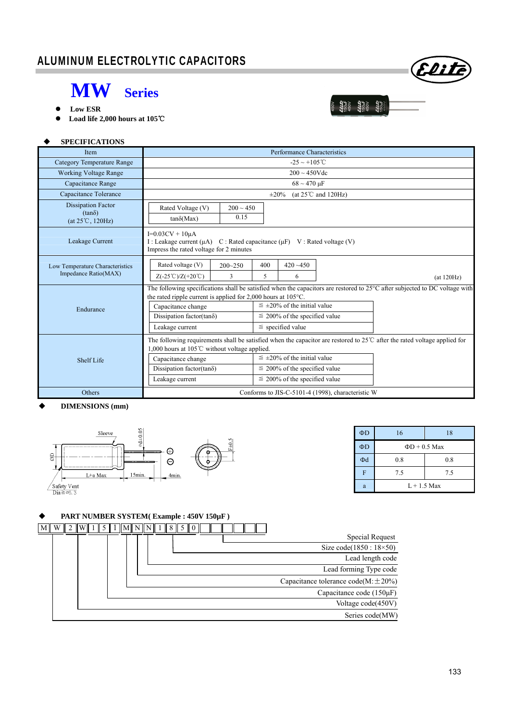Eliti

22:25<br>150uF<br>150uF<br>150uF<br>450uF<br>450uF

- **MW Series Low ESR**
- **Load life 2,000 hours at 105**℃

### **SPECIFICATIONS**

| Item                                                                    | Performance Characteristics                                                                                                                                                                            |                                      |                                      |             |            |  |  |
|-------------------------------------------------------------------------|--------------------------------------------------------------------------------------------------------------------------------------------------------------------------------------------------------|--------------------------------------|--------------------------------------|-------------|------------|--|--|
| <b>Category Temperature Range</b>                                       | $-25 \sim +105^{\circ}C$                                                                                                                                                                               |                                      |                                      |             |            |  |  |
| <b>Working Voltage Range</b>                                            | $200 \sim 450$ Vdc                                                                                                                                                                                     |                                      |                                      |             |            |  |  |
| Capacitance Range                                                       | $68 \sim 470 \text{ }\mu\text{F}$                                                                                                                                                                      |                                      |                                      |             |            |  |  |
| Capacitance Tolerance                                                   | (at $25^{\circ}$ C and $120$ Hz)<br>$\pm 20\%$                                                                                                                                                         |                                      |                                      |             |            |  |  |
| <b>Dissipation Factor</b><br>$(tan\delta)$<br>$(at 25^{\circ}C, 120Hz)$ | Rated Voltage (V)<br>$tan\delta(Max)$                                                                                                                                                                  | $200 \sim 450$<br>0.15               |                                      |             |            |  |  |
| Leakage Current                                                         | $I=0.03CV + 10\mu A$<br>I: Leakage current $(\mu A)$ C: Rated capacitance $(\mu F)$ V: Rated voltage (V)<br>Impress the rated voltage for 2 minutes                                                    |                                      |                                      |             |            |  |  |
| Low Temperature Characteristics<br>Impedance Ratio(MAX)                 | Rated voltage (V)                                                                                                                                                                                      | $200 - 250$                          | 400                                  | $420 - 450$ |            |  |  |
|                                                                         | $Z(-25^{\circ}\text{C})/Z(+20^{\circ}\text{C})$                                                                                                                                                        | 3                                    | 5.                                   | 6           | (at 120Hz) |  |  |
|                                                                         | The following specifications shall be satisfied when the capacitors are restored to 25°C after subjected to DC voltage with<br>the rated ripple current is applied for 2,000 hours at $105^{\circ}$ C. |                                      |                                      |             |            |  |  |
| Endurance                                                               | Capacitance change                                                                                                                                                                                     | $\leq \pm 20\%$ of the initial value |                                      |             |            |  |  |
|                                                                         | Dissipation factor(tan $\delta$ )                                                                                                                                                                      |                                      | $\leq$ 200% of the specified value   |             |            |  |  |
|                                                                         | Leakage current                                                                                                                                                                                        | $\le$ specified value                |                                      |             |            |  |  |
|                                                                         | The following requirements shall be satisfied when the capacitor are restored to $25^{\circ}$ after the rated voltage applied for<br>1,000 hours at 105 $\degree$ C without voltage applied.           |                                      |                                      |             |            |  |  |
| Shelf Life                                                              | Capacitance change                                                                                                                                                                                     |                                      | $\leq \pm 20\%$ of the initial value |             |            |  |  |
|                                                                         | Dissipation factor( $tan\delta$ )                                                                                                                                                                      |                                      | $\leq$ 200% of the specified value   |             |            |  |  |
|                                                                         | Leakage current                                                                                                                                                                                        | $\leq$ 200% of the specified value   |                                      |             |            |  |  |
| Others                                                                  | Conforms to JIS-C-5101-4 (1998), characteristic W                                                                                                                                                      |                                      |                                      |             |            |  |  |

#### **DIMENSIONS (mm)**



| $\Phi$ D | 16                 | 18  |  |  |  |
|----------|--------------------|-----|--|--|--|
| $\Phi$ D | $\Phi D + 0.5$ Max |     |  |  |  |
| Φd       | 0.8                | 0.8 |  |  |  |
| F        | 7.5                | 7.5 |  |  |  |
| a        | $L + 1.5$ Max      |     |  |  |  |

### **PART NUMBER SYSTEM( Example : 450V 150µF )**